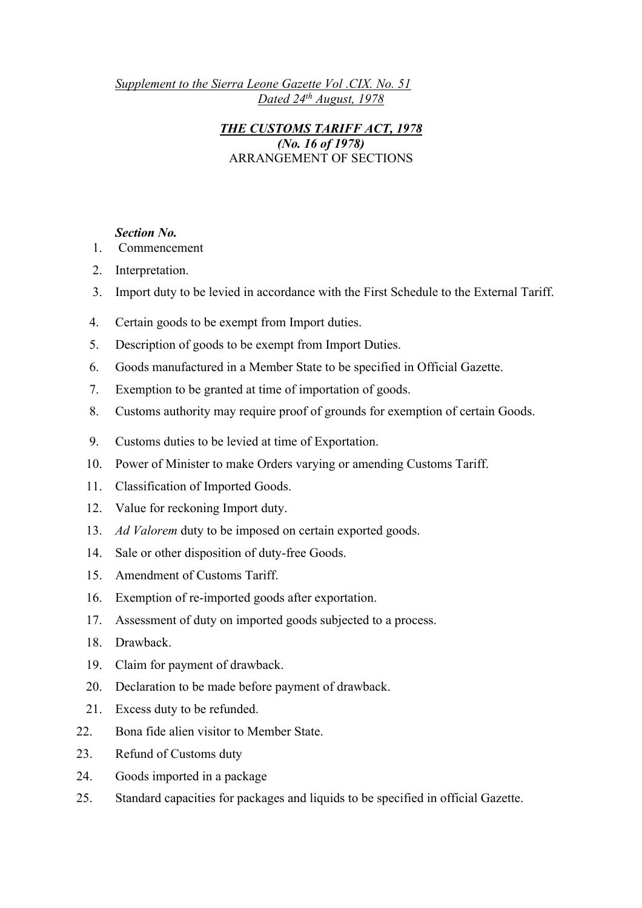*Supplement to the Sierra Leone Gazette Vol .CIX. No. 51 Dated 24th August, 1978*

> *THE CUSTOMS TARIFF ACT, 1978 (No. 16 of 1978)* ARRANGEMENT OF SECTIONS

### *Section No.*

- 1. Commencement
- 2. Interpretation.
- 3. Import duty to be levied in accordance with the First Schedule to the External Tariff.
- 4. Certain goods to be exempt from Import duties.
- 5. Description of goods to be exempt from Import Duties.
- 6. Goods manufactured in a Member State to be specified in Official Gazette.
- 7. Exemption to be granted at time of importation of goods.
- 8. Customs authority may require proof of grounds for exemption of certain Goods.
- 9. Customs duties to be levied at time of Exportation.
- 10. Power of Minister to make Orders varying or amending Customs Tariff.
- 11. Classification of Imported Goods.
- 12. Value for reckoning Import duty.
- 13. *Ad Valorem* duty to be imposed on certain exported goods.
- 14. Sale or other disposition of duty-free Goods.
- 15. Amendment of Customs Tariff.
- 16. Exemption of re-imported goods after exportation.
- 17. Assessment of duty on imported goods subjected to a process.
- 18. Drawback.
- 19. Claim for payment of drawback.
- 20. Declaration to be made before payment of drawback.
- 21. Excess duty to be refunded.
- 22. Bona fide alien visitor to Member State.
- 23. Refund of Customs duty
- 24. Goods imported in a package
- 25. Standard capacities for packages and liquids to be specified in official Gazette.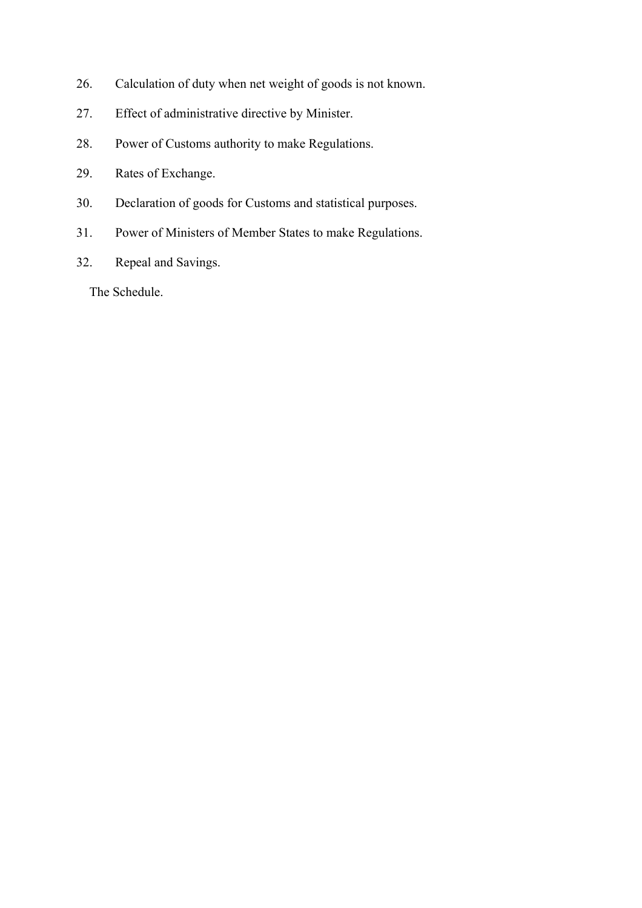- 26. Calculation of duty when net weight of goods is not known.
- 27. Effect of administrative directive by Minister.
- 28. Power of Customs authority to make Regulations.
- 29. Rates of Exchange.
- 30. Declaration of goods for Customs and statistical purposes.
- 31. Power of Ministers of Member States to make Regulations.
- 32. Repeal and Savings.

The Schedule.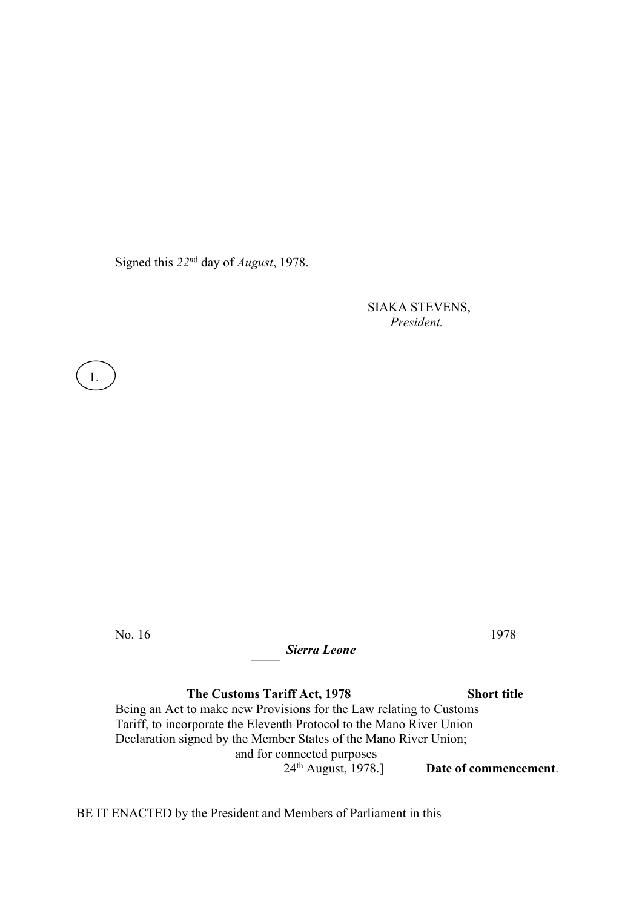Signed this *22n*<sup>d</sup> day of *August*, 1978.

 SIAKA STEVENS,  *President.*

No. 16 1978

L  $\overline{a}$ 

*Sierra Leone*

 **The Customs Tariff Act, 1978 Short title** Being an Act to make new Provisions for the Law relating to Customs Tariff, to incorporate the Eleventh Protocol to the Mano River Union Declaration signed by the Member States of the Mano River Union; and for connected purposes<br> $24<sup>th</sup>$  August, 1978.] Date of commencement.

BE IT ENACTED by the President and Members of Parliament in this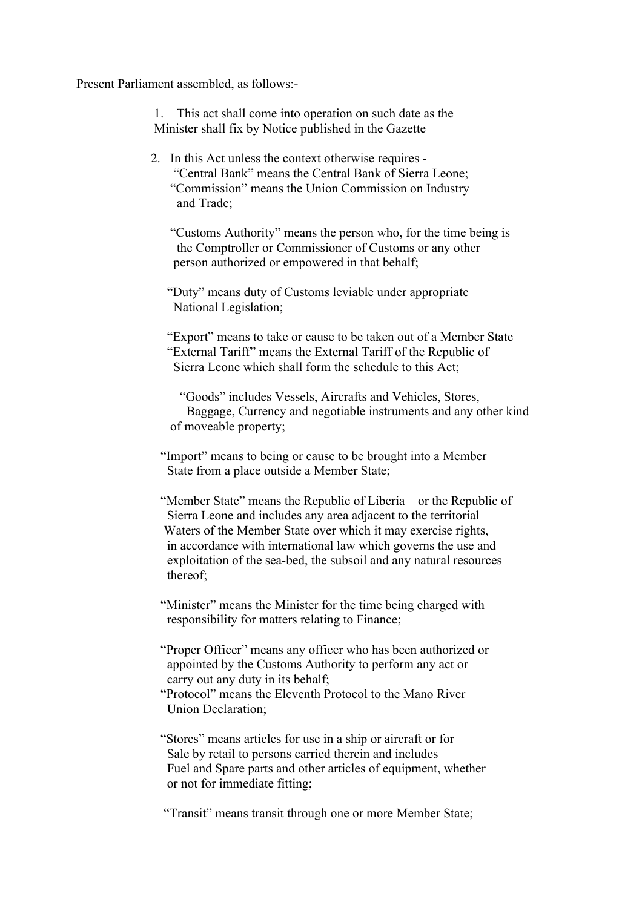Present Parliament assembled, as follows:-

 1. This act shall come into operation on such date as the Minister shall fix by Notice published in the Gazette

 2. In this Act unless the context otherwise requires - "Central Bank" means the Central Bank of Sierra Leone; "Commission" means the Union Commission on Industry and Trade;

 "Customs Authority" means the person who, for the time being is the Comptroller or Commissioner of Customs or any other person authorized or empowered in that behalf;

 "Duty" means duty of Customs leviable under appropriate National Legislation;

 "Export" means to take or cause to be taken out of a Member State "External Tariff" means the External Tariff of the Republic of Sierra Leone which shall form the schedule to this Act;

 "Goods" includes Vessels, Aircrafts and Vehicles, Stores, Baggage, Currency and negotiable instruments and any other kind of moveable property;

 "Import" means to being or cause to be brought into a Member State from a place outside a Member State;

"Member State" means the Republic of Liberia or the Republic of Sierra Leone and includes any area adjacent to the territorial Waters of the Member State over which it may exercise rights, in accordance with international law which governs the use and exploitation of the sea-bed, the subsoil and any natural resources thereof;

"Minister" means the Minister for the time being charged with responsibility for matters relating to Finance;

 "Proper Officer" means any officer who has been authorized or appointed by the Customs Authority to perform any act or carry out any duty in its behalf;

 "Protocol" means the Eleventh Protocol to the Mano River Union Declaration;

 "Stores" means articles for use in a ship or aircraft or for Sale by retail to persons carried therein and includes Fuel and Spare parts and other articles of equipment, whether or not for immediate fitting;

"Transit" means transit through one or more Member State;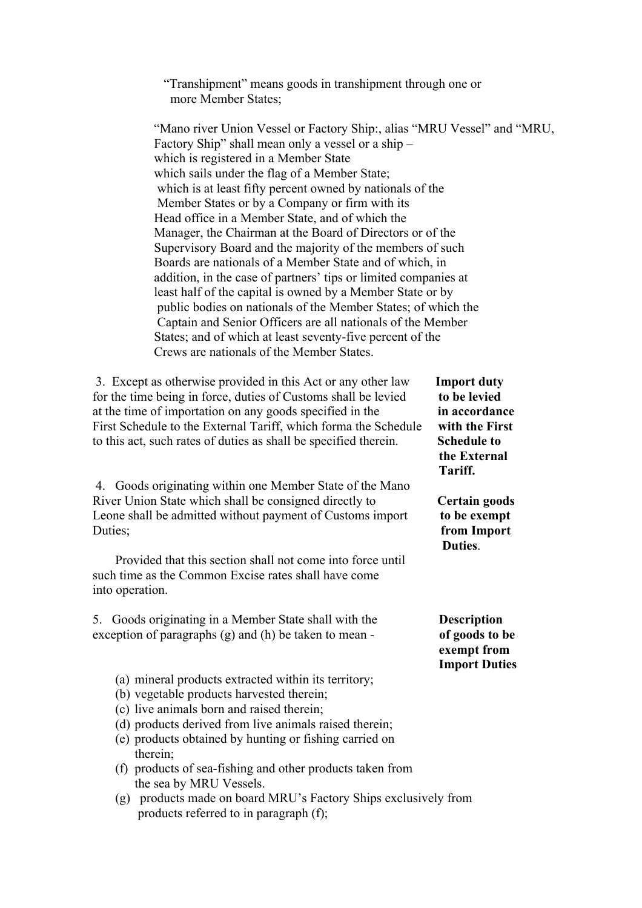"Transhipment" means goods in transhipment through one or more Member States;

"Mano river Union Vessel or Factory Ship:, alias "MRU Vessel" and "MRU, Factory Ship" shall mean only a vessel or a ship – which is registered in a Member State which sails under the flag of a Member State; which is at least fifty percent owned by nationals of the Member States or by a Company or firm with its Head office in a Member State, and of which the Manager, the Chairman at the Board of Directors or of the Supervisory Board and the majority of the members of such Boards are nationals of a Member State and of which, in addition, in the case of partners' tips or limited companies at least half of the capital is owned by a Member State or by public bodies on nationals of the Member States; of which the Captain and Senior Officers are all nationals of the Member States; and of which at least seventy-five percent of the Crews are nationals of the Member States.

 3. Except as otherwise provided in this Act or any other law **Import duty** for the time being in force, duties of Customs shall be levied **to be levied** at the time of importation on any goods specified in the **in accordance** First Schedule to the External Tariff, which forma the Schedule **with the First** to this act, such rates of duties as shall be specified therein. **Schedule to**

 4. Goods originating within one Member State of the Mano River Union State which shall be consigned directly to **Certain goods**  Leone shall be admitted without payment of Customs import **to be exempt** Duties; **from Import**

 Provided that this section shall not come into force until such time as the Common Excise rates shall have come into operation.

 5. Goods originating in a Member State shall with the **Description** exception of paragraphs (g) and (h) be taken to mean - **of goods to be**

- (a) mineral products extracted within its territory;
- (b) vegetable products harvested therein;
- (c) live animals born and raised therein;
- (d) products derived from live animals raised therein;
- (e) products obtained by hunting or fishing carried on therein;
- (f) products of sea-fishing and other products taken from the sea by MRU Vessels.
- (g) products made on board MRU's Factory Ships exclusively from products referred to in paragraph (f);

 **the External** *Tariff.* **Tariff.** 

**Duties. Duties**.

 **exempt from Import Duties**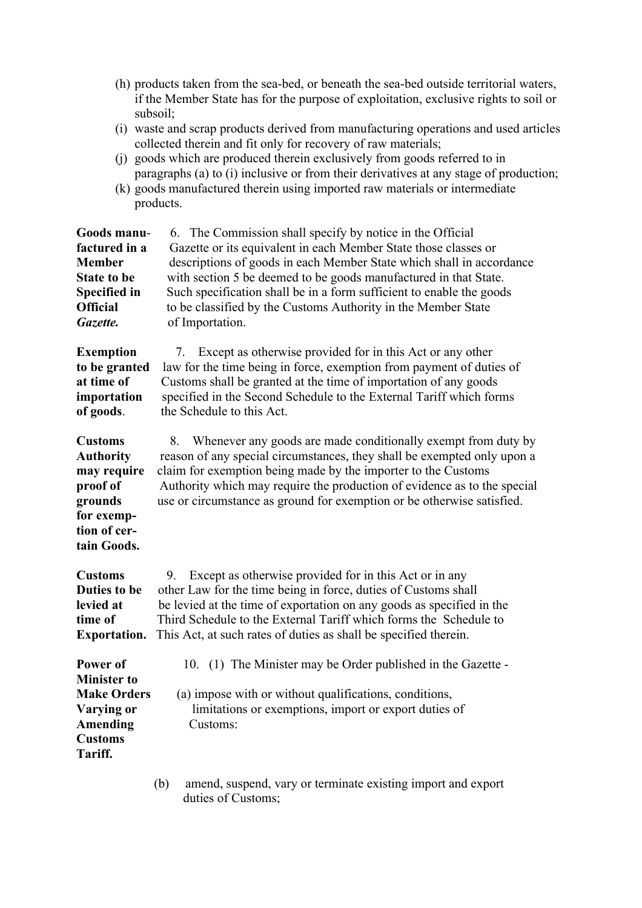|          |  | (h) products taken from the sea-bed, or beneath the sea-bed outside territorial waters, |
|----------|--|-----------------------------------------------------------------------------------------|
|          |  | if the Member State has for the purpose of exploitation, exclusive rights to soil or    |
| subsoil: |  |                                                                                         |
|          |  | (i) weste and soren products dorived from menufacturing operations and used articles    |

- (i) waste and scrap products derived from manufacturing operations and used articles collected therein and fit only for recovery of raw materials;
- (j) goods which are produced therein exclusively from goods referred to in paragraphs (a) to  $\overrightarrow{I}$  inclusive or from their derivatives at any stage of production;
- (k) goods manufactured therein using imported raw materials or intermediate products.

| Goods manu-<br>factured in a<br><b>Member</b><br><b>State to be</b><br><b>Specified in</b><br><b>Official</b><br>Gazette. | 6. The Commission shall specify by notice in the Official<br>Gazette or its equivalent in each Member State those classes or<br>descriptions of goods in each Member State which shall in accordance<br>with section 5 be deemed to be goods manufactured in that State.<br>Such specification shall be in a form sufficient to enable the goods<br>to be classified by the Customs Authority in the Member State<br>of Importation. |
|---------------------------------------------------------------------------------------------------------------------------|--------------------------------------------------------------------------------------------------------------------------------------------------------------------------------------------------------------------------------------------------------------------------------------------------------------------------------------------------------------------------------------------------------------------------------------|
| <b>Exemption</b><br>to be granted<br>at time of<br>importation<br>of goods.                                               | Except as otherwise provided for in this Act or any other<br>7.<br>law for the time being in force, exemption from payment of duties of<br>Customs shall be granted at the time of importation of any goods<br>specified in the Second Schedule to the External Tariff which forms<br>the Schedule to this Act.                                                                                                                      |
| <b>Customs</b><br><b>Authority</b><br>may require<br>proof of<br>grounds<br>for exemp-<br>tion of cer-<br>tain Goods.     | Whenever any goods are made conditionally exempt from duty by<br>8.<br>reason of any special circumstances, they shall be exempted only upon a<br>claim for exemption being made by the importer to the Customs<br>Authority which may require the production of evidence as to the special<br>use or circumstance as ground for exemption or be otherwise satisfied.                                                                |
| <b>Customs</b><br>Duties to be<br>levied at<br>time of<br><b>Exportation.</b>                                             | Except as otherwise provided for in this Act or in any<br>9.<br>other Law for the time being in force, duties of Customs shall<br>be levied at the time of exportation on any goods as specified in the<br>Third Schedule to the External Tariff which forms the Schedule to<br>This Act, at such rates of duties as shall be specified therein.                                                                                     |
| Power of<br><b>Minister to</b><br><b>Make Orders</b><br>Varying or<br><b>Amending</b><br><b>Customs</b><br>Tariff.        | 10. (1) The Minister may be Order published in the Gazette -<br>(a) impose with or without qualifications, conditions,<br>limitations or exemptions, import or export duties of<br>Customs:                                                                                                                                                                                                                                          |
|                                                                                                                           | (b)<br>amend, suspend, vary or terminate existing import and export                                                                                                                                                                                                                                                                                                                                                                  |

duties of Customs;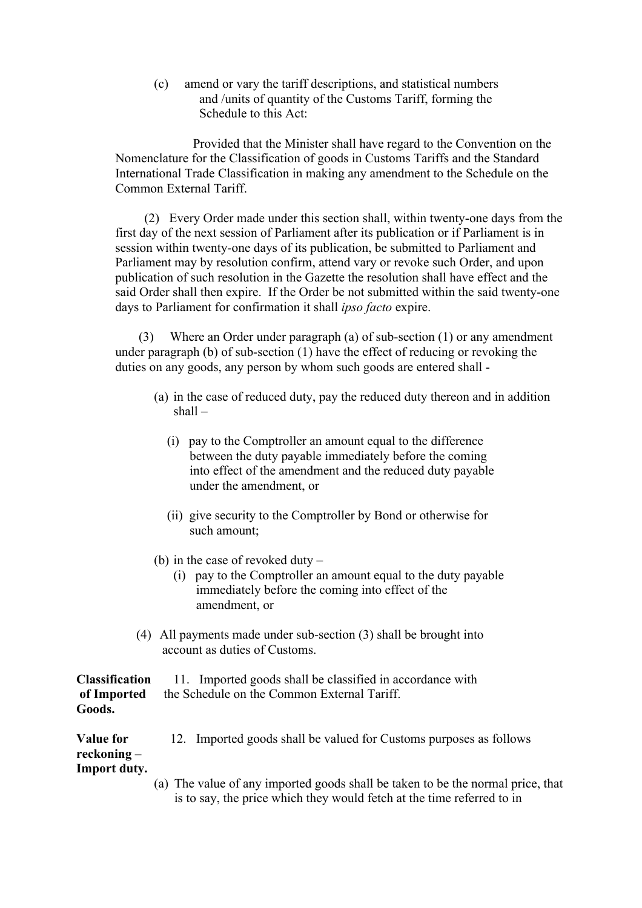(c) amend or vary the tariff descriptions, and statistical numbers and /units of quantity of the Customs Tariff, forming the Schedule to this Act:

Provided that the Minister shall have regard to the Convention on the Nomenclature for the Classification of goods in Customs Tariffs and the Standard International Trade Classification in making any amendment to the Schedule on the Common External Tariff.

(2) Every Order made under this section shall, within twenty-one days from the first day of the next session of Parliament after its publication or if Parliament is in session within twenty-one days of its publication, be submitted to Parliament and Parliament may by resolution confirm, attend vary or revoke such Order, and upon publication of such resolution in the Gazette the resolution shall have effect and the said Order shall then expire. If the Order be not submitted within the said twenty-one days to Parliament for confirmation it shall *ipso facto* expire.

(3) Where an Order under paragraph (a) of sub-section (1) or any amendment under paragraph (b) of sub-section (1) have the effect of reducing or revoking the duties on any goods, any person by whom such goods are entered shall -

- (a) in the case of reduced duty, pay the reduced duty thereon and in addition shall –
	- (i) pay to the Comptroller an amount equal to the difference between the duty payable immediately before the coming into effect of the amendment and the reduced duty payable under the amendment, or
	- (ii) give security to the Comptroller by Bond or otherwise for such amount;
- (b) in the case of revoked duty
	- (i) pay to the Comptroller an amount equal to the duty payable immediately before the coming into effect of the amendment, or
- (4) All payments made under sub-section (3) shall be brought into account as duties of Customs.

|        | <b>Classification</b> 11. Imported goods shall be classified in accordance with |  |
|--------|---------------------------------------------------------------------------------|--|
|        | of Imported the Schedule on the Common External Tariff.                         |  |
| Goods. |                                                                                 |  |

| <b>Value for</b> | 12. Imported goods shall be valued for Customs purposes as follows |
|------------------|--------------------------------------------------------------------|
| reckoning –      |                                                                    |
| Import duty.     |                                                                    |

(a) The value of any imported goods shall be taken to be the normal price, that is to say, the price which they would fetch at the time referred to in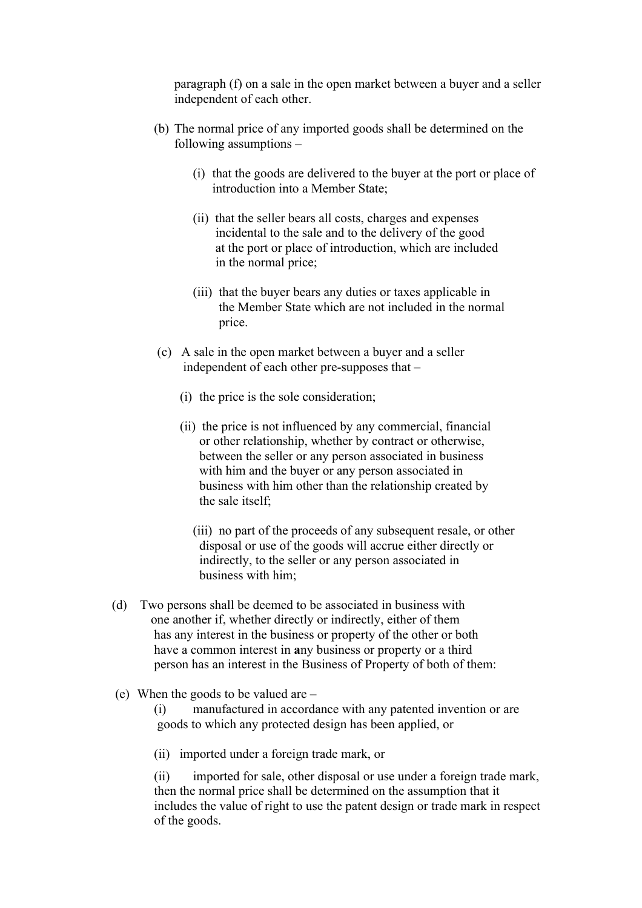paragraph (f) on a sale in the open market between a buyer and a seller independent of each other.

- (b) The normal price of any imported goods shall be determined on the following assumptions –
	- (i) that the goods are delivered to the buyer at the port or place of introduction into a Member State;
	- (ii) that the seller bears all costs, charges and expenses incidental to the sale and to the delivery of the good at the port or place of introduction, which are included in the normal price;
	- (iii) that the buyer bears any duties or taxes applicable in the Member State which are not included in the normal price.
- (c) A sale in the open market between a buyer and a seller independent of each other pre-supposes that –
	- (i) the price is the sole consideration;
	- (ii) the price is not influenced by any commercial, financial or other relationship, whether by contract or otherwise, between the seller or any person associated in business with him and the buyer or any person associated in business with him other than the relationship created by the sale itself;

 (iii) no part of the proceeds of any subsequent resale, or other disposal or use of the goods will accrue either directly or indirectly, to the seller or any person associated in business with him;

- (d) Two persons shall be deemed to be associated in business with one another if, whether directly or indirectly, either of them has any interest in the business or property of the other or both have a common interest in **a**ny business or property or a third person has an interest in the Business of Property of both of them:
- (e) When the goods to be valued are –

(i) manufactured in accordance with any patented invention or are goods to which any protected design has been applied, or

(ii) imported under a foreign trade mark, or

(ii) imported for sale, other disposal or use under a foreign trade mark, then the normal price shall be determined on the assumption that it includes the value of right to use the patent design or trade mark in respect of the goods.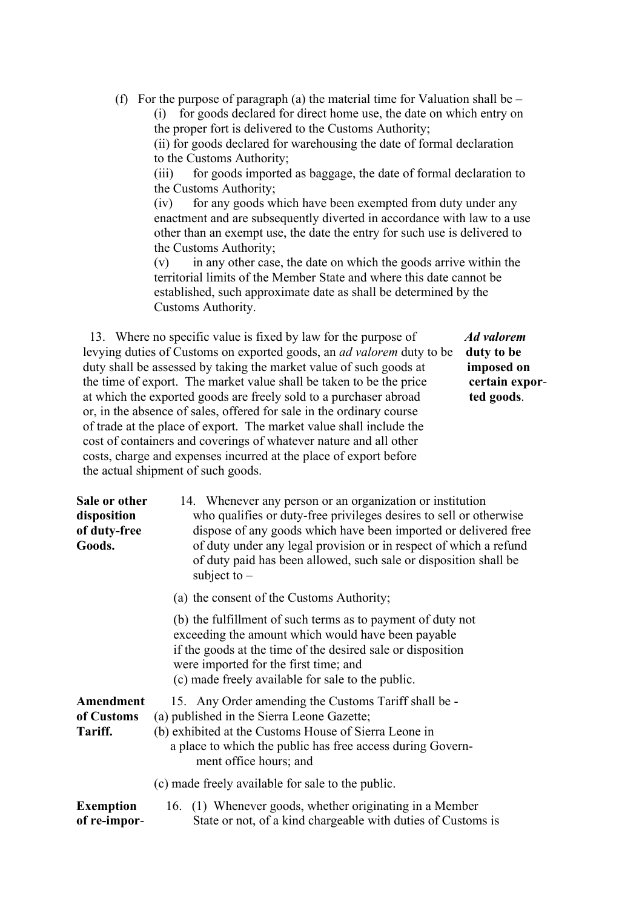(f) For the purpose of paragraph (a) the material time for Valuation shall be  $-$ 

 (i) for goods declared for direct home use, the date on which entry on the proper fort is delivered to the Customs Authority;

(ii) for goods declared for warehousing the date of formal declaration to the Customs Authority;

(iii) for goods imported as baggage, the date of formal declaration to the Customs Authority;

(iv) for any goods which have been exempted from duty under any enactment and are subsequently diverted in accordance with law to a use other than an exempt use, the date the entry for such use is delivered to the Customs Authority;

(v) in any other case, the date on which the goods arrive within the territorial limits of the Member State and where this date cannot be established, such approximate date as shall be determined by the Customs Authority.

 13. Where no specific value is fixed by law for the purpose of *Ad valorem* levying duties of Customs on exported goods, an *ad valorem* duty to be **duty to be** duty shall be assessed by taking the market value of such goods at **imposed on** the time of export. The market value shall be taken to be the price **certain expor** at which the exported goods are freely sold to a purchaser abroad **ted goods**. or, in the absence of sales, offered for sale in the ordinary course of trade at the place of export. The market value shall include the cost of containers and coverings of whatever nature and all other costs, charge and expenses incurred at the place of export before the actual shipment of such goods.

| Sale or other<br>disposition<br>of duty-free<br>Goods. | 14. Whenever any person or an organization or institution<br>who qualifies or duty-free privileges desires to sell or otherwise<br>dispose of any goods which have been imported or delivered free<br>of duty under any legal provision or in respect of which a refund<br>of duty paid has been allowed, such sale or disposition shall be<br>subject to $-$ |
|--------------------------------------------------------|---------------------------------------------------------------------------------------------------------------------------------------------------------------------------------------------------------------------------------------------------------------------------------------------------------------------------------------------------------------|
|                                                        | (a) the consent of the Customs Authority;                                                                                                                                                                                                                                                                                                                     |
|                                                        | (b) the fulfillment of such terms as to payment of duty not<br>exceeding the amount which would have been payable<br>if the goods at the time of the desired sale or disposition<br>were imported for the first time; and<br>(c) made freely available for sale to the public.                                                                                |
| Amendment<br>of Customs<br>Tariff.                     | 15. Any Order amending the Customs Tariff shall be -<br>(a) published in the Sierra Leone Gazette;<br>(b) exhibited at the Customs House of Sierra Leone in<br>a place to which the public has free access during Govern-<br>ment office hours; and                                                                                                           |
|                                                        | (c) made freely available for sale to the public.                                                                                                                                                                                                                                                                                                             |
| <b>Exemption</b><br>of re-impor-                       | 16. (1) Whenever goods, whether originating in a Member<br>State or not, of a kind chargeable with duties of Customs is                                                                                                                                                                                                                                       |
|                                                        |                                                                                                                                                                                                                                                                                                                                                               |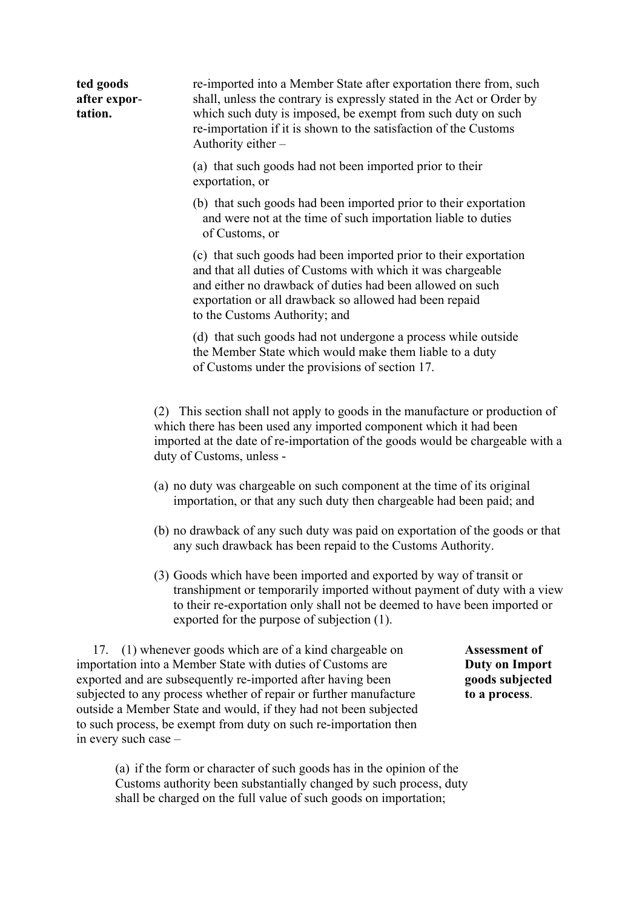| ted goods<br>after expor-<br>tation. | re-imported into a Member State after exportation there from, such<br>shall, unless the contrary is expressly stated in the Act or Order by<br>which such duty is imposed, be exempt from such duty on such<br>re-importation if it is shown to the satisfaction of the Customs<br>Authority either - |  |  |
|--------------------------------------|-------------------------------------------------------------------------------------------------------------------------------------------------------------------------------------------------------------------------------------------------------------------------------------------------------|--|--|
|                                      | (a) that such goods had not been imported prior to their<br>exportation, or                                                                                                                                                                                                                           |  |  |
|                                      | (b) that such goods had been imported prior to their exportation<br>and were not at the time of such importation liable to duties<br>of Customs, or                                                                                                                                                   |  |  |
|                                      | (c) that such goods had been imported prior to their exportation<br>and that all duties of Customs with which it was chargeable<br>and either no drawback of duties had been allowed on such<br>exportation or all drawback so allowed had been repaid<br>to the Customs Authority; and               |  |  |
|                                      | (d) that such goods had not undergone a process while outside<br>the Member State which would make them liable to a duty<br>of Customs under the provisions of section 17.                                                                                                                            |  |  |
|                                      | (2) This section shall not apply to goods in the manufacture or production of<br>which there has been used any imported component which it had been<br>imported at the date of re-importation of the goods would be chargeable with a<br>duty of Customs, unless -                                    |  |  |
|                                      | (a) no duty was chargeable on such component at the time of its original<br>importation, or that any such duty then chargeable had been paid; and                                                                                                                                                     |  |  |
|                                      | (b) no drawback of any such duty was paid on exportation of the goods or that<br>any such drawback has been repaid to the Customs Authority.                                                                                                                                                          |  |  |
|                                      | (3) Goods which have been imported and exported by way of transit or<br>translations and an tamp around x imported with any normal of duty with a view                                                                                                                                                |  |  |

transhipment or temporarily imported without payment of duty with a view to their re-exportation only shall not be deemed to have been imported or exported for the purpose of subjection (1).

 17. (1) whenever goods which are of a kind chargeable on **Assessment of** importation into a Member State with duties of Customs are **Duty on Import** exported and are subsequently re-imported after having been **goods subjected** subjected to any process whether of repair or further manufacture **to a process**. outside a Member State and would, if they had not been subjected to such process, be exempt from duty on such re-importation then in every such case –

(a) if the form or character of such goods has in the opinion of the Customs authority been substantially changed by such process, duty shall be charged on the full value of such goods on importation;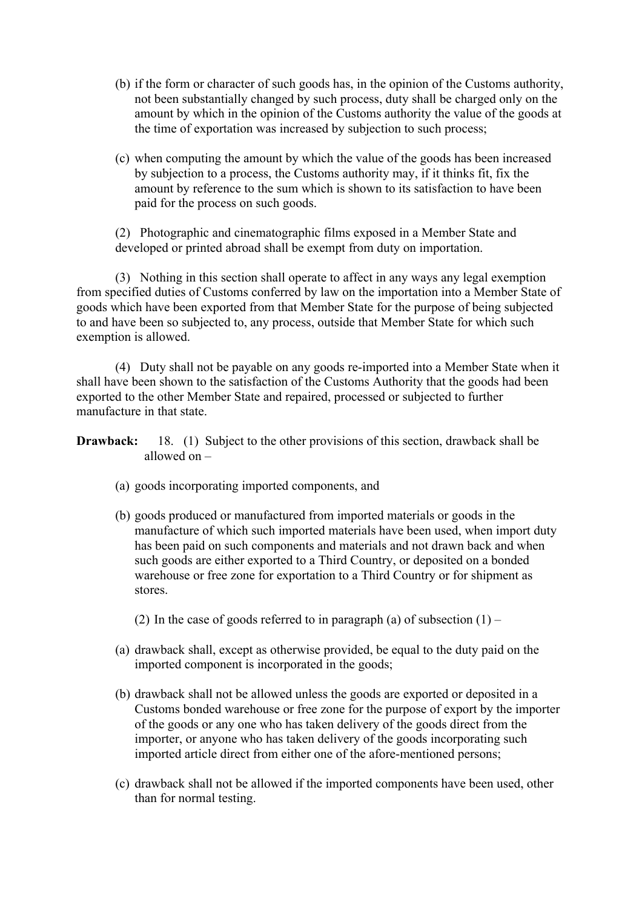- (b) if the form or character of such goods has, in the opinion of the Customs authority, not been substantially changed by such process, duty shall be charged only on the amount by which in the opinion of the Customs authority the value of the goods at the time of exportation was increased by subjection to such process;
- (c) when computing the amount by which the value of the goods has been increased by subjection to a process, the Customs authority may, if it thinks fit, fix the amount by reference to the sum which is shown to its satisfaction to have been paid for the process on such goods.

(2) Photographic and cinematographic films exposed in a Member State and developed or printed abroad shall be exempt from duty on importation.

(3) Nothing in this section shall operate to affect in any ways any legal exemption from specified duties of Customs conferred by law on the importation into a Member State of goods which have been exported from that Member State for the purpose of being subjected to and have been so subjected to, any process, outside that Member State for which such exemption is allowed.

(4) Duty shall not be payable on any goods re-imported into a Member State when it shall have been shown to the satisfaction of the Customs Authority that the goods had been exported to the other Member State and repaired, processed or subjected to further manufacture in that state.

**Drawback:** 18. (1) Subject to the other provisions of this section, drawback shall be allowed on –

- (a) goods incorporating imported components, and
- (b) goods produced or manufactured from imported materials or goods in the manufacture of which such imported materials have been used, when import duty has been paid on such components and materials and not drawn back and when such goods are either exported to a Third Country, or deposited on a bonded warehouse or free zone for exportation to a Third Country or for shipment as stores.
	- (2) In the case of goods referred to in paragraph (a) of subsection  $(1)$  –
- (a) drawback shall, except as otherwise provided, be equal to the duty paid on the imported component is incorporated in the goods;
- (b) drawback shall not be allowed unless the goods are exported or deposited in a Customs bonded warehouse or free zone for the purpose of export by the importer of the goods or any one who has taken delivery of the goods direct from the importer, or anyone who has taken delivery of the goods incorporating such imported article direct from either one of the afore-mentioned persons;
- (c) drawback shall not be allowed if the imported components have been used, other than for normal testing.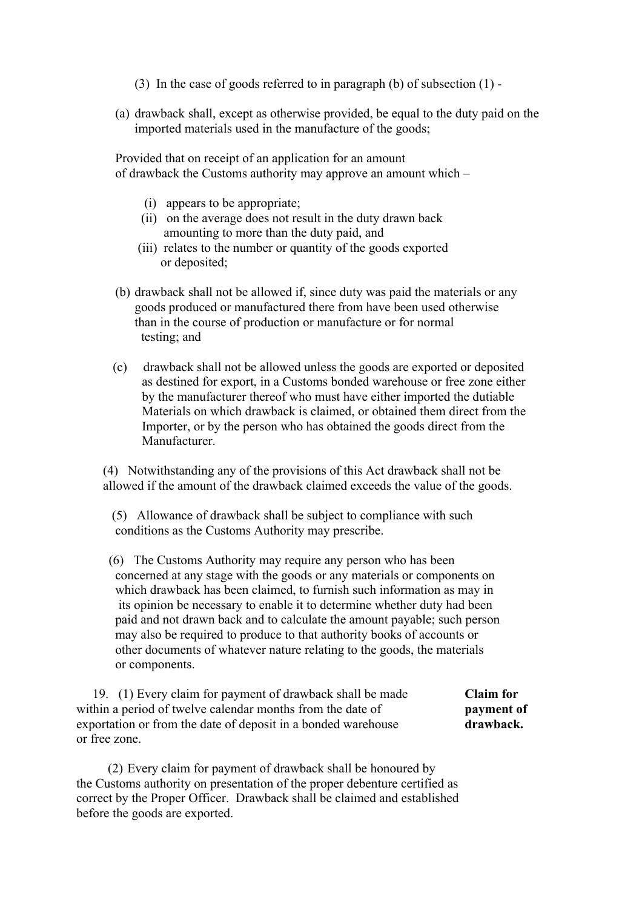- (3) In the case of goods referred to in paragraph (b) of subsection (1) -
- (a) drawback shall, except as otherwise provided, be equal to the duty paid on the imported materials used in the manufacture of the goods;

Provided that on receipt of an application for an amount of drawback the Customs authority may approve an amount which –

- (i) appears to be appropriate;
- (ii) on the average does not result in the duty drawn back amounting to more than the duty paid, and
- (iii) relates to the number or quantity of the goods exported or deposited;
- (b) drawback shall not be allowed if, since duty was paid the materials or any goods produced or manufactured there from have been used otherwise than in the course of production or manufacture or for normal testing; and
- (c) drawback shall not be allowed unless the goods are exported or deposited as destined for export, in a Customs bonded warehouse or free zone either by the manufacturer thereof who must have either imported the dutiable Materials on which drawback is claimed, or obtained them direct from the Importer, or by the person who has obtained the goods direct from the Manufacturer.

(4) Notwithstanding any of the provisions of this Act drawback shall not be allowed if the amount of the drawback claimed exceeds the value of the goods.

- (5) Allowance of drawback shall be subject to compliance with such conditions as the Customs Authority may prescribe.
- (6) The Customs Authority may require any person who has been concerned at any stage with the goods or any materials or components on which drawback has been claimed, to furnish such information as may in its opinion be necessary to enable it to determine whether duty had been paid and not drawn back and to calculate the amount payable; such person may also be required to produce to that authority books of accounts or other documents of whatever nature relating to the goods, the materials or components.

 19. (1) Every claim for payment of drawback shall be made **Claim for** within a period of twelve calendar months from the date of **payment of** exportation or from the date of deposit in a bonded warehouse **drawback.** or free zone.

(2) Every claim for payment of drawback shall be honoured by the Customs authority on presentation of the proper debenture certified as correct by the Proper Officer. Drawback shall be claimed and established before the goods are exported.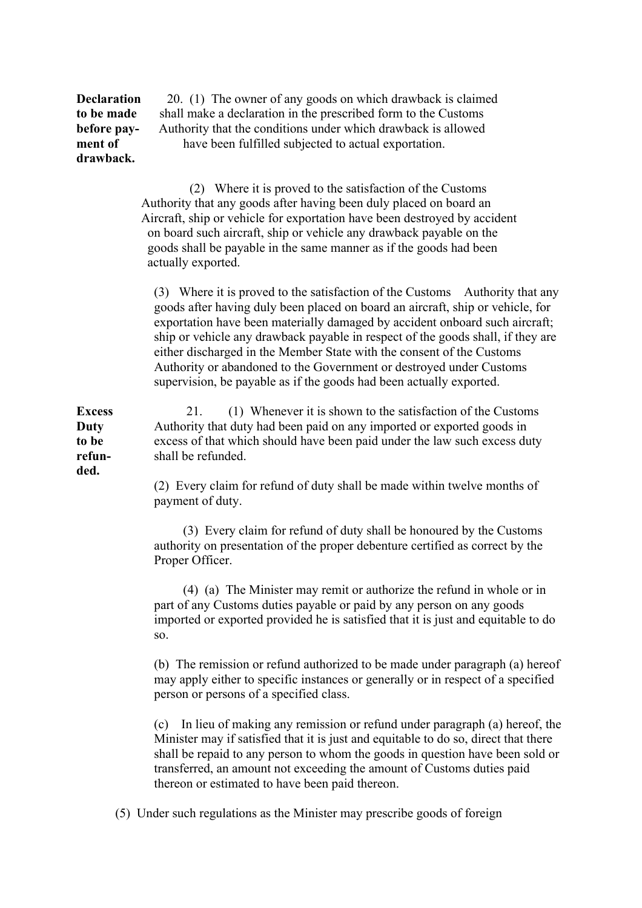**Declaration** 20. (1) The owner of any goods on which drawback is claimed **to be made** shall make a declaration in the prescribed form to the Customs **before pay-** Authority that the conditions under which drawback is allowed **ment of have been fulfilled subjected to actual exportation. drawback.** (2) Where it is proved to the satisfaction of the Customs Authority that any goods after having been duly placed on board an Aircraft, ship or vehicle for exportation have been destroyed by accident on board such aircraft, ship or vehicle any drawback payable on the goods shall be payable in the same manner as if the goods had been actually exported. (3) Where it is proved to the satisfaction of the Customs Authority that any goods after having duly been placed on board an aircraft, ship or vehicle, for exportation have been materially damaged by accident onboard such aircraft; ship or vehicle any drawback payable in respect of the goods shall, if they are either discharged in the Member State with the consent of the Customs Authority or abandoned to the Government or destroyed under Customs supervision, be payable as if the goods had been actually exported. **Excess** 21. (1) Whenever it is shown to the satisfaction of the Customs **Duty** Authority that duty had been paid on any imported or exported goods in **to be** excess of that which should have been paid under the law such excess duty **refun-** shall be refunded. **ded.** (2) Every claim for refund of duty shall be made within twelve months of payment of duty. (3) Every claim for refund of duty shall be honoured by the Customs authority on presentation of the proper debenture certified as correct by the Proper Officer. (4) (a) The Minister may remit or authorize the refund in whole or in part of any Customs duties payable or paid by any person on any goods imported or exported provided he is satisfied that it is just and equitable to do so. (b) The remission or refund authorized to be made under paragraph (a) hereof may apply either to specific instances or generally or in respect of a specified person or persons of a specified class.

> (c) In lieu of making any remission or refund under paragraph (a) hereof, the Minister may if satisfied that it is just and equitable to do so, direct that there shall be repaid to any person to whom the goods in question have been sold or transferred, an amount not exceeding the amount of Customs duties paid thereon or estimated to have been paid thereon.

(5) Under such regulations as the Minister may prescribe goods of foreign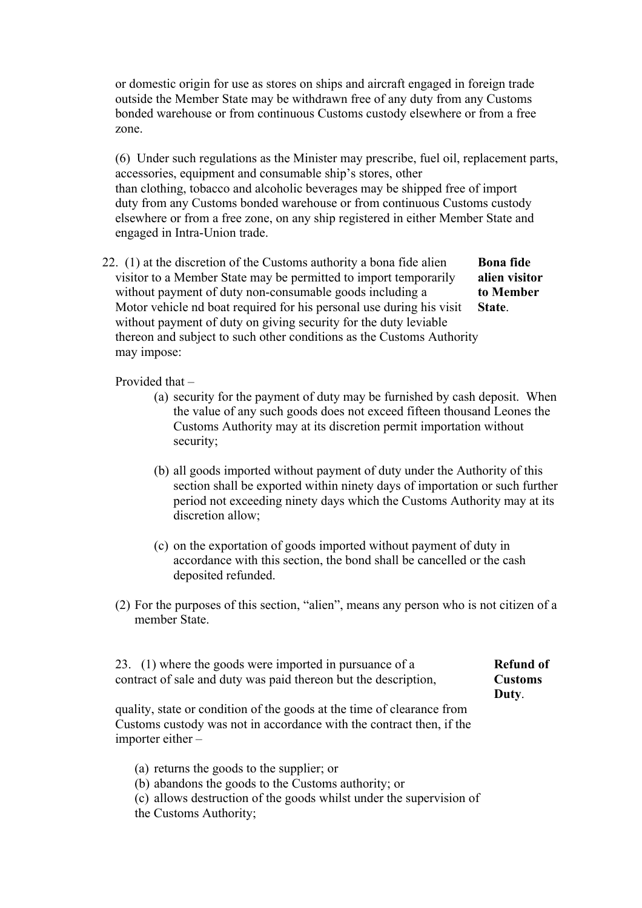or domestic origin for use as stores on ships and aircraft engaged in foreign trade outside the Member State may be withdrawn free of any duty from any Customs bonded warehouse or from continuous Customs custody elsewhere or from a free zone.

(6) Under such regulations as the Minister may prescribe, fuel oil, replacement parts, accessories, equipment and consumable ship's stores, other than clothing, tobacco and alcoholic beverages may be shipped free of import duty from any Customs bonded warehouse or from continuous Customs custody elsewhere or from a free zone, on any ship registered in either Member State and engaged in Intra-Union trade.

 22. (1) at the discretion of the Customs authority a bona fide alien **Bona fide** visitor to a Member State may be permitted to import temporarily **alien visitor** without payment of duty non-consumable goods including a **to Member** Motor vehicle nd boat required for his personal use during his visit **State**. without payment of duty on giving security for the duty leviable thereon and subject to such other conditions as the Customs Authority may impose:

Provided that –

- (a) security for the payment of duty may be furnished by cash deposit. When the value of any such goods does not exceed fifteen thousand Leones the Customs Authority may at its discretion permit importation without security;
- (b) all goods imported without payment of duty under the Authority of this section shall be exported within ninety days of importation or such further period not exceeding ninety days which the Customs Authority may at its discretion allow;
- (c) on the exportation of goods imported without payment of duty in accordance with this section, the bond shall be cancelled or the cash deposited refunded.
- (2) For the purposes of this section, "alien", means any person who is not citizen of a member State.

23. (1) where the goods were imported in pursuance of a **Refund of** contract of sale and duty was paid thereon but the description, **Customs**

 **Duty**.

quality, state or condition of the goods at the time of clearance from Customs custody was not in accordance with the contract then, if the importer either –

- (a) returns the goods to the supplier; or
- (b) abandons the goods to the Customs authority; or
- (c) allows destruction of the goods whilst under the supervision of
- the Customs Authority;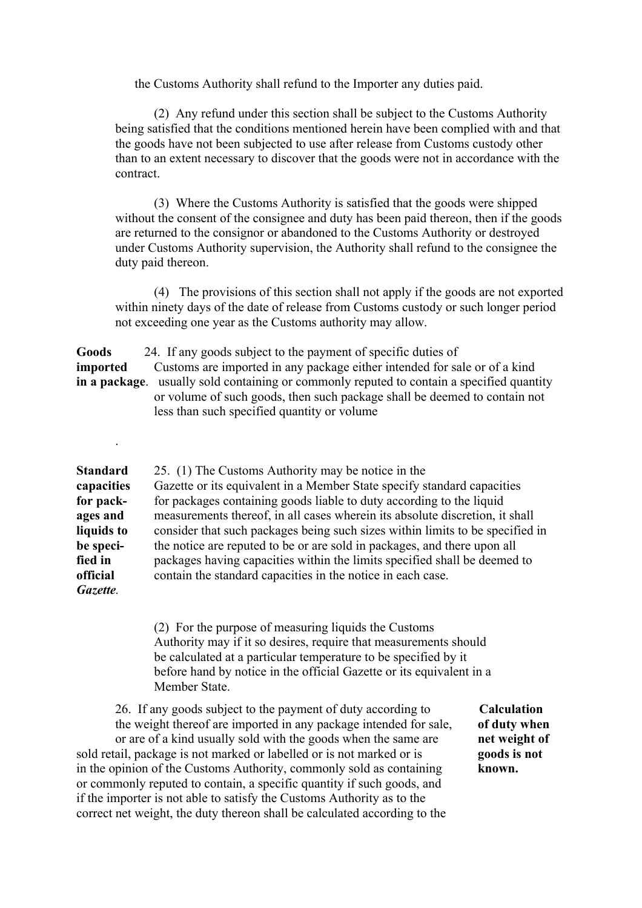the Customs Authority shall refund to the Importer any duties paid.

(2) Any refund under this section shall be subject to the Customs Authority being satisfied that the conditions mentioned herein have been complied with and that the goods have not been subjected to use after release from Customs custody other than to an extent necessary to discover that the goods were not in accordance with the contract.

(3) Where the Customs Authority is satisfied that the goods were shipped without the consent of the consignee and duty has been paid thereon, then if the goods are returned to the consignor or abandoned to the Customs Authority or destroyed under Customs Authority supervision, the Authority shall refund to the consignee the duty paid thereon.

(4) The provisions of this section shall not apply if the goods are not exported within ninety days of the date of release from Customs custody or such longer period not exceeding one year as the Customs authority may allow.

**Goods** 24. If any goods subject to the payment of specific duties of **imported** Customs are imported in any package either intended for sale or of a kind **in a package**. usually sold containing or commonly reputed to contain a specified quantity or volume of such goods, then such package shall be deemed to contain not less than such specified quantity or volume

.

**Standard** 25. (1) The Customs Authority may be notice in the **capacities** Gazette or its equivalent in a Member State specify standard capacities **for pack-** for packages containing goods liable to duty according to the liquid **ages and** measurements thereof, in all cases wherein its absolute discretion, it shall **liquids to** consider that such packages being such sizes within limits to be specified in **be speci-** the notice are reputed to be or are sold in packages, and there upon all **fied in** packages having capacities within the limits specified shall be deemed to **official** contain the standard capacities in the notice in each case. *Gazette.*

> (2) For the purpose of measuring liquids the Customs Authority may if it so desires, require that measurements should be calculated at a particular temperature to be specified by it before hand by notice in the official Gazette or its equivalent in a Member State.

 26. If any goods subject to the payment of duty according to **Calculation** the weight thereof are imported in any package intended for sale, **of duty when** or are of a kind usually sold with the goods when the same are **net weight of** sold retail, package is not marked or labelled or is not marked or is **goods is not** in the opinion of the Customs Authority, commonly sold as containing **known.** or commonly reputed to contain, a specific quantity if such goods, and if the importer is not able to satisfy the Customs Authority as to the correct net weight, the duty thereon shall be calculated according to the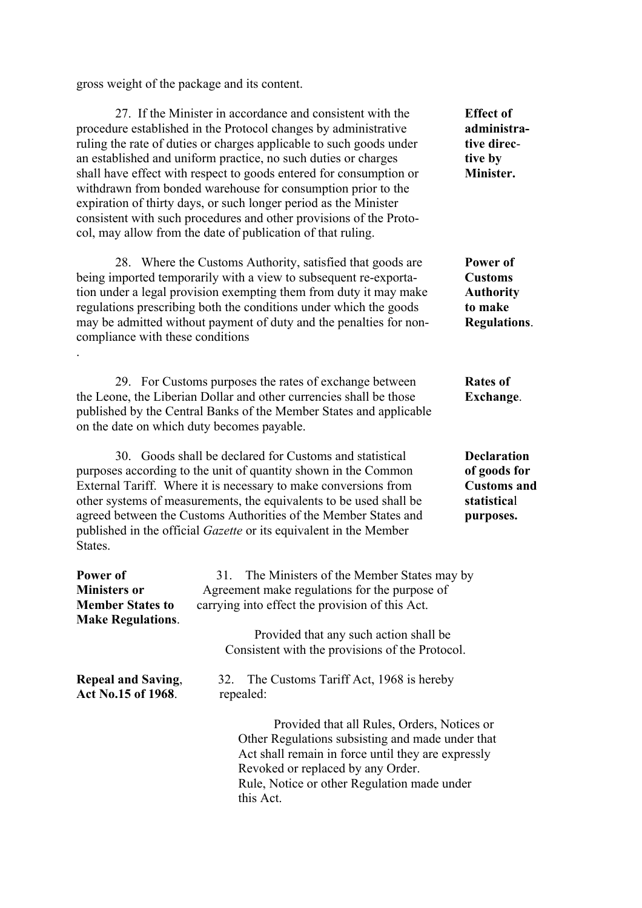gross weight of the package and its content.

27. If the Minister in accordance and consistent with the **Effect of** procedure established in the Protocol changes by administrative **administra**ruling the rate of duties or charges applicable to such goods under **tive direc**an established and uniform practice, no such duties or charges **tive by** shall have effect with respect to goods entered for consumption or **Minister.** withdrawn from bonded warehouse for consumption prior to the expiration of thirty days, or such longer period as the Minister consistent with such procedures and other provisions of the Protocol, may allow from the date of publication of that ruling. 28. Where the Customs Authority, satisfied that goods are **Power of** being imported temporarily with a view to subsequent re-exporta- **Customs** tion under a legal provision exempting them from duty it may make **Authority** regulations prescribing both the conditions under which the goods **to make** may be admitted without payment of duty and the penalties for non- **Regulations**. compliance with these conditions . 29. For Customs purposes the rates of exchange between **Rates of** the Leone, the Liberian Dollar and other currencies shall be those **Exchange**. published by the Central Banks of the Member States and applicable on the date on which duty becomes payable. 30. Goods shall be declared for Customs and statistical **Declaration** purposes according to the unit of quantity shown in the Common **of goods for** External Tariff. Where it is necessary to make conversions from **Customs and** other systems of measurements, the equivalents to be used shall be **statistica**l agreed between the Customs Authorities of the Member States and **purposes.** published in the official *Gazette* or its equivalent in the Member States. **Power of** 31. The Ministers of the Member States may by **Ministers or** Agreement make regulations for the purpose of **Member States to** carrying into effect the provision of this Act. **Make Regulations**. Provided that any such action shall be Consistent with the provisions of the Protocol.

| <b>Repeal and Saving,</b> | 32. The Customs Tariff Act, 1968 is hereby         |  |
|---------------------------|----------------------------------------------------|--|
| Act No.15 of 1968.        | repealed:                                          |  |
|                           | Provided that all Rules, Orders, Notices or        |  |
|                           | Other Regulations subsisting and made under that   |  |
|                           | Act shall remain in force until they are expressly |  |
|                           | Revoked or replaced by any Order.                  |  |

 Rule, Notice or other Regulation made under this Act.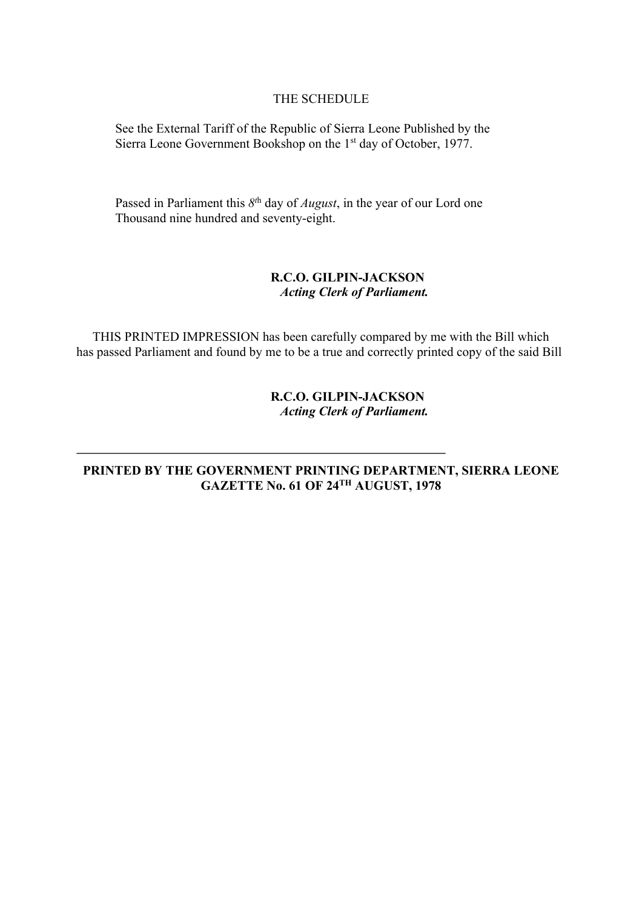#### THE SCHEDULE

See the External Tariff of the Republic of Sierra Leone Published by the Sierra Leone Government Bookshop on the 1<sup>st</sup> day of October, 1977.

Passed in Parliament this *8t*<sup>h</sup> day of *August*, in the year of our Lord one Thousand nine hundred and seventy-eight.

### **R.C.O. GILPIN-JACKSON**  *Acting Clerk of Parliament.*

 THIS PRINTED IMPRESSION has been carefully compared by me with the Bill which has passed Parliament and found by me to be a true and correctly printed copy of the said Bill

### **R.C.O. GILPIN-JACKSON**  *Acting Clerk of Parliament.*

### **PRINTED BY THE GOVERNMENT PRINTING DEPARTMENT, SIERRA LEONE GAZETTE No. 61 OF 24TH AUGUST, 1978**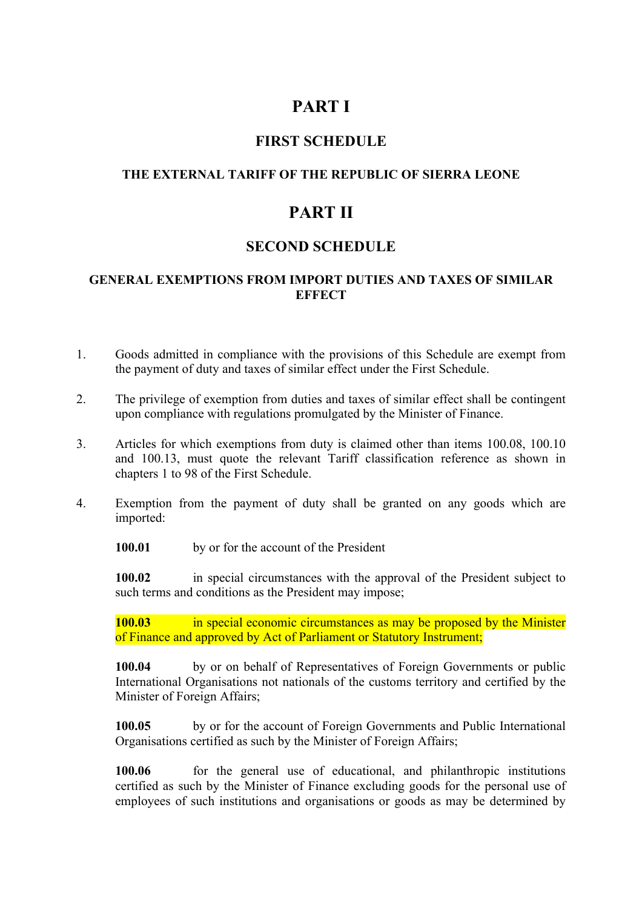# **PART I**

# **FIRST SCHEDULE**

## **THE EXTERNAL TARIFF OF THE REPUBLIC OF SIERRA LEONE**

# **PART II**

## **SECOND SCHEDULE**

### **GENERAL EXEMPTIONS FROM IMPORT DUTIES AND TAXES OF SIMILAR EFFECT**

- 1. Goods admitted in compliance with the provisions of this Schedule are exempt from the payment of duty and taxes of similar effect under the First Schedule.
- 2. The privilege of exemption from duties and taxes of similar effect shall be contingent upon compliance with regulations promulgated by the Minister of Finance.
- 3. Articles for which exemptions from duty is claimed other than items 100.08, 100.10 and 100.13, must quote the relevant Tariff classification reference as shown in chapters 1 to 98 of the First Schedule.
- 4. Exemption from the payment of duty shall be granted on any goods which are imported:

**100.01** by or for the account of the President

**100.02** in special circumstances with the approval of the President subject to such terms and conditions as the President may impose;

**100.03** in special economic circumstances as may be proposed by the Minister of Finance and approved by Act of Parliament or Statutory Instrument;

**100.04** by or on behalf of Representatives of Foreign Governments or public International Organisations not nationals of the customs territory and certified by the Minister of Foreign Affairs;

**100.05** by or for the account of Foreign Governments and Public International Organisations certified as such by the Minister of Foreign Affairs;

**100.06** for the general use of educational, and philanthropic institutions certified as such by the Minister of Finance excluding goods for the personal use of employees of such institutions and organisations or goods as may be determined by